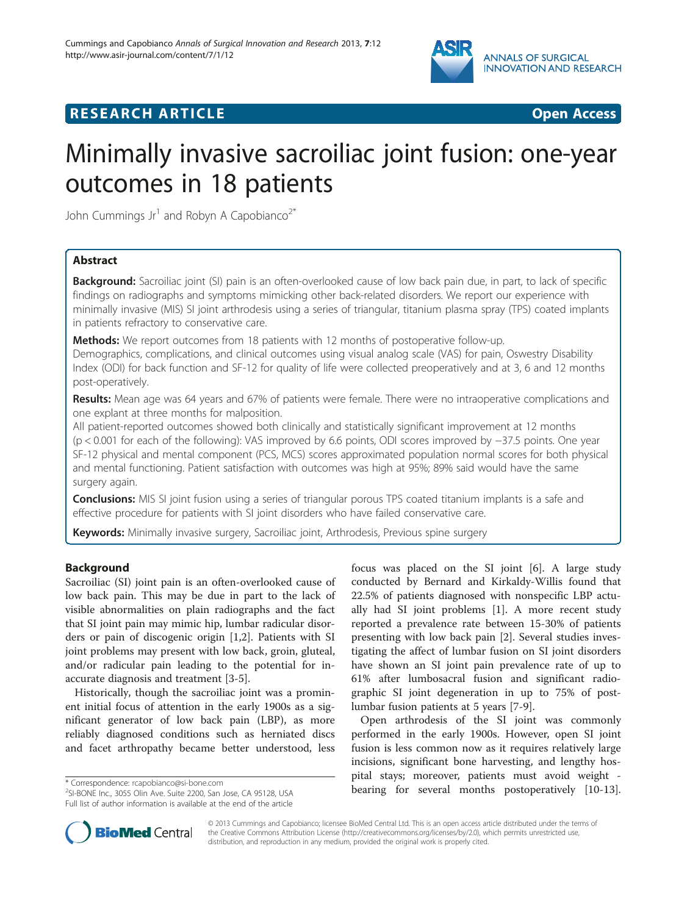

# **RESEARCH ARTICLE Example 2014 CONSIDERING CONSIDERING CONSIDERING CONSIDERING CONSIDERING CONSIDERING CONSIDERING CONSIDERING CONSIDERING CONSIDERING CONSIDERING CONSIDERING CONSIDERING CONSIDERING CONSIDERING CONSIDE**



# Minimally invasive sacroiliac joint fusion: one-year outcomes in 18 patients

John Cummings Jr<sup>1</sup> and Robyn A Capobianco<sup>2\*</sup>

# Abstract

**Background:** Sacroiliac joint (SI) pain is an often-overlooked cause of low back pain due, in part, to lack of specific findings on radiographs and symptoms mimicking other back-related disorders. We report our experience with minimally invasive (MIS) SI joint arthrodesis using a series of triangular, titanium plasma spray (TPS) coated implants in patients refractory to conservative care.

**Methods:** We report outcomes from 18 patients with 12 months of postoperative follow-up. Demographics, complications, and clinical outcomes using visual analog scale (VAS) for pain, Oswestry Disability Index (ODI) for back function and SF-12 for quality of life were collected preoperatively and at 3, 6 and 12 months post-operatively.

Results: Mean age was 64 years and 67% of patients were female. There were no intraoperative complications and one explant at three months for malposition.

All patient-reported outcomes showed both clinically and statistically significant improvement at 12 months (p < 0.001 for each of the following): VAS improved by 6.6 points, ODI scores improved by −37.5 points. One year SF-12 physical and mental component (PCS, MCS) scores approximated population normal scores for both physical and mental functioning. Patient satisfaction with outcomes was high at 95%; 89% said would have the same surgery again.

**Conclusions:** MIS SI joint fusion using a series of triangular porous TPS coated titanium implants is a safe and effective procedure for patients with SI joint disorders who have failed conservative care.

Keywords: Minimally invasive surgery, Sacroiliac joint, Arthrodesis, Previous spine surgery

# Background

Sacroiliac (SI) joint pain is an often-overlooked cause of low back pain. This may be due in part to the lack of visible abnormalities on plain radiographs and the fact that SI joint pain may mimic hip, lumbar radicular disorders or pain of discogenic origin [\[1,2](#page-5-0)]. Patients with SI joint problems may present with low back, groin, gluteal, and/or radicular pain leading to the potential for inaccurate diagnosis and treatment [\[3](#page-5-0)-[5\]](#page-5-0).

Historically, though the sacroiliac joint was a prominent initial focus of attention in the early 1900s as a significant generator of low back pain (LBP), as more reliably diagnosed conditions such as herniated discs and facet arthropathy became better understood, less

SI-BONE Inc., 3055 Olin Ave. Suite 2200, San Jose, CA 95128, USA Full list of author information is available at the end of the article

focus was placed on the SI joint [\[6](#page-5-0)]. A large study conducted by Bernard and Kirkaldy-Willis found that 22.5% of patients diagnosed with nonspecific LBP actually had SI joint problems [[1\]](#page-5-0). A more recent study reported a prevalence rate between 15-30% of patients presenting with low back pain [[2](#page-5-0)]. Several studies investigating the affect of lumbar fusion on SI joint disorders have shown an SI joint pain prevalence rate of up to 61% after lumbosacral fusion and significant radiographic SI joint degeneration in up to 75% of postlumbar fusion patients at 5 years [\[7](#page-5-0)-[9\]](#page-5-0).

Open arthrodesis of the SI joint was commonly performed in the early 1900s. However, open SI joint fusion is less common now as it requires relatively large incisions, significant bone harvesting, and lengthy hospital stays; moreover, patients must avoid weight \* Correspondence: [rcapobianco@si-bone.com](mailto:rcapobianco@si-bone.com)<br>
<sup>2</sup>SLRONE lnc 3055 Olin Ave Suite 2200 San Jose CA 95128 USA **bearing for several months postoperatively** [\[10-13](#page-5-0)].



© 2013 Cummings and Capobianco; licensee BioMed Central Ltd. This is an open access article distributed under the terms of the Creative Commons Attribution License [\(http://creativecommons.org/licenses/by/2.0\)](http://creativecommons.org/licenses/by/2.0), which permits unrestricted use, distribution, and reproduction in any medium, provided the original work is properly cited.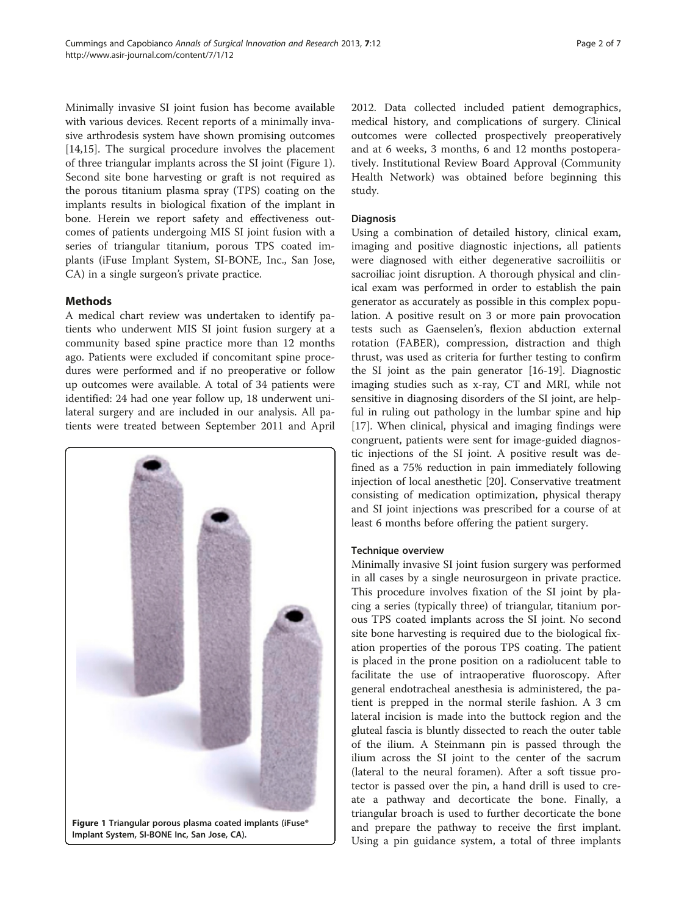Minimally invasive SI joint fusion has become available with various devices. Recent reports of a minimally invasive arthrodesis system have shown promising outcomes [[14,15\]](#page-5-0). The surgical procedure involves the placement of three triangular implants across the SI joint (Figure 1). Second site bone harvesting or graft is not required as the porous titanium plasma spray (TPS) coating on the implants results in biological fixation of the implant in bone. Herein we report safety and effectiveness outcomes of patients undergoing MIS SI joint fusion with a series of triangular titanium, porous TPS coated implants (iFuse Implant System, SI-BONE, Inc., San Jose, CA) in a single surgeon's private practice.

# Methods

A medical chart review was undertaken to identify patients who underwent MIS SI joint fusion surgery at a community based spine practice more than 12 months ago. Patients were excluded if concomitant spine procedures were performed and if no preoperative or follow up outcomes were available. A total of 34 patients were identified: 24 had one year follow up, 18 underwent unilateral surgery and are included in our analysis. All patients were treated between September 2011 and April



2012. Data collected included patient demographics, medical history, and complications of surgery. Clinical outcomes were collected prospectively preoperatively and at 6 weeks, 3 months, 6 and 12 months postoperatively. Institutional Review Board Approval (Community Health Network) was obtained before beginning this study.

#### Diagnosis

Using a combination of detailed history, clinical exam, imaging and positive diagnostic injections, all patients were diagnosed with either degenerative sacroiliitis or sacroiliac joint disruption. A thorough physical and clinical exam was performed in order to establish the pain generator as accurately as possible in this complex population. A positive result on 3 or more pain provocation tests such as Gaenselen's, flexion abduction external rotation (FABER), compression, distraction and thigh thrust, was used as criteria for further testing to confirm the SI joint as the pain generator [[16-19\]](#page-5-0). Diagnostic imaging studies such as x-ray, CT and MRI, while not sensitive in diagnosing disorders of the SI joint, are helpful in ruling out pathology in the lumbar spine and hip [[17\]](#page-5-0). When clinical, physical and imaging findings were congruent, patients were sent for image-guided diagnostic injections of the SI joint. A positive result was defined as a 75% reduction in pain immediately following injection of local anesthetic [\[20](#page-5-0)]. Conservative treatment consisting of medication optimization, physical therapy and SI joint injections was prescribed for a course of at least 6 months before offering the patient surgery.

# Technique overview

Minimally invasive SI joint fusion surgery was performed in all cases by a single neurosurgeon in private practice. This procedure involves fixation of the SI joint by placing a series (typically three) of triangular, titanium porous TPS coated implants across the SI joint. No second site bone harvesting is required due to the biological fixation properties of the porous TPS coating. The patient is placed in the prone position on a radiolucent table to facilitate the use of intraoperative fluoroscopy. After general endotracheal anesthesia is administered, the patient is prepped in the normal sterile fashion. A 3 cm lateral incision is made into the buttock region and the gluteal fascia is bluntly dissected to reach the outer table of the ilium. A Steinmann pin is passed through the ilium across the SI joint to the center of the sacrum (lateral to the neural foramen). After a soft tissue protector is passed over the pin, a hand drill is used to create a pathway and decorticate the bone. Finally, a triangular broach is used to further decorticate the bone and prepare the pathway to receive the first implant. Using a pin guidance system, a total of three implants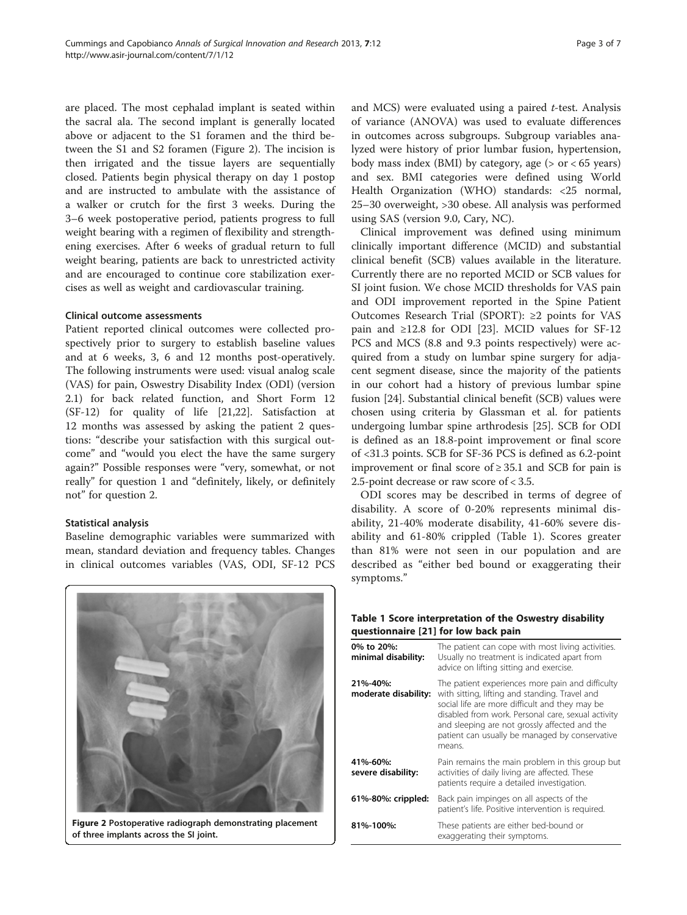are placed. The most cephalad implant is seated within the sacral ala. The second implant is generally located above or adjacent to the S1 foramen and the third between the S1 and S2 foramen (Figure 2). The incision is then irrigated and the tissue layers are sequentially closed. Patients begin physical therapy on day 1 postop and are instructed to ambulate with the assistance of a walker or crutch for the first 3 weeks. During the 3–6 week postoperative period, patients progress to full weight bearing with a regimen of flexibility and strengthening exercises. After 6 weeks of gradual return to full weight bearing, patients are back to unrestricted activity and are encouraged to continue core stabilization exercises as well as weight and cardiovascular training.

#### Clinical outcome assessments

Patient reported clinical outcomes were collected prospectively prior to surgery to establish baseline values and at 6 weeks, 3, 6 and 12 months post-operatively. The following instruments were used: visual analog scale (VAS) for pain, Oswestry Disability Index (ODI) (version 2.1) for back related function, and Short Form 12 (SF-12) for quality of life [[21,22\]](#page-5-0). Satisfaction at 12 months was assessed by asking the patient 2 questions: "describe your satisfaction with this surgical outcome" and "would you elect the have the same surgery again?" Possible responses were "very, somewhat, or not really" for question 1 and "definitely, likely, or definitely not" for question 2.

# Statistical analysis

Baseline demographic variables were summarized with mean, standard deviation and frequency tables. Changes in clinical outcomes variables (VAS, ODI, SF-12 PCS



Figure 2 Postoperative radiograph demonstrating placement of three implants across the SI joint.

and MCS) were evaluated using a paired  $t$ -test. Analysis of variance (ANOVA) was used to evaluate differences in outcomes across subgroups. Subgroup variables analyzed were history of prior lumbar fusion, hypertension, body mass index (BMI) by category, age  $(> or < 65$  years) and sex. BMI categories were defined using World Health Organization (WHO) standards: <25 normal, 25–30 overweight, >30 obese. All analysis was performed using SAS (version 9.0, Cary, NC).

Clinical improvement was defined using minimum clinically important difference (MCID) and substantial clinical benefit (SCB) values available in the literature. Currently there are no reported MCID or SCB values for SI joint fusion. We chose MCID thresholds for VAS pain and ODI improvement reported in the Spine Patient Outcomes Research Trial (SPORT): ≥2 points for VAS pain and ≥12.8 for ODI [\[23\]](#page-5-0). MCID values for SF-12 PCS and MCS (8.8 and 9.3 points respectively) were acquired from a study on lumbar spine surgery for adjacent segment disease, since the majority of the patients in our cohort had a history of previous lumbar spine fusion [[24\]](#page-6-0). Substantial clinical benefit (SCB) values were chosen using criteria by Glassman et al. for patients undergoing lumbar spine arthrodesis [[25\]](#page-6-0). SCB for ODI is defined as an 18.8-point improvement or final score of <31.3 points. SCB for SF-36 PCS is defined as 6.2-point improvement or final score of  $\geq$  35.1 and SCB for pain is 2.5-point decrease or raw score of < 3.5.

ODI scores may be described in terms of degree of disability. A score of 0-20% represents minimal disability, 21-40% moderate disability, 41-60% severe disability and 61-80% crippled (Table 1). Scores greater than 81% were not seen in our population and are described as "either bed bound or exaggerating their symptoms."

| Table 1 Score interpretation of the Oswestry disability |
|---------------------------------------------------------|
| questionnaire [21] for low back pain                    |

| 0% to 20%:<br>minimal disability: | The patient can cope with most living activities.<br>Usually no treatment is indicated apart from<br>advice on lifting sitting and exercise.                                                                                                                                                                            |
|-----------------------------------|-------------------------------------------------------------------------------------------------------------------------------------------------------------------------------------------------------------------------------------------------------------------------------------------------------------------------|
| 21%-40%:<br>moderate disability:  | The patient experiences more pain and difficulty<br>with sitting, lifting and standing. Travel and<br>social life are more difficult and they may be<br>disabled from work. Personal care, sexual activity<br>and sleeping are not grossly affected and the<br>patient can usually be managed by conservative<br>means. |
| 41%-60%:<br>severe disability:    | Pain remains the main problem in this group but<br>activities of daily living are affected. These<br>patients require a detailed investigation.                                                                                                                                                                         |
| 61%-80%: crippled:                | Back pain impinges on all aspects of the<br>patient's life. Positive intervention is required.                                                                                                                                                                                                                          |
| 81%-100%:                         | These patients are either bed-bound or<br>exaggerating their symptoms.                                                                                                                                                                                                                                                  |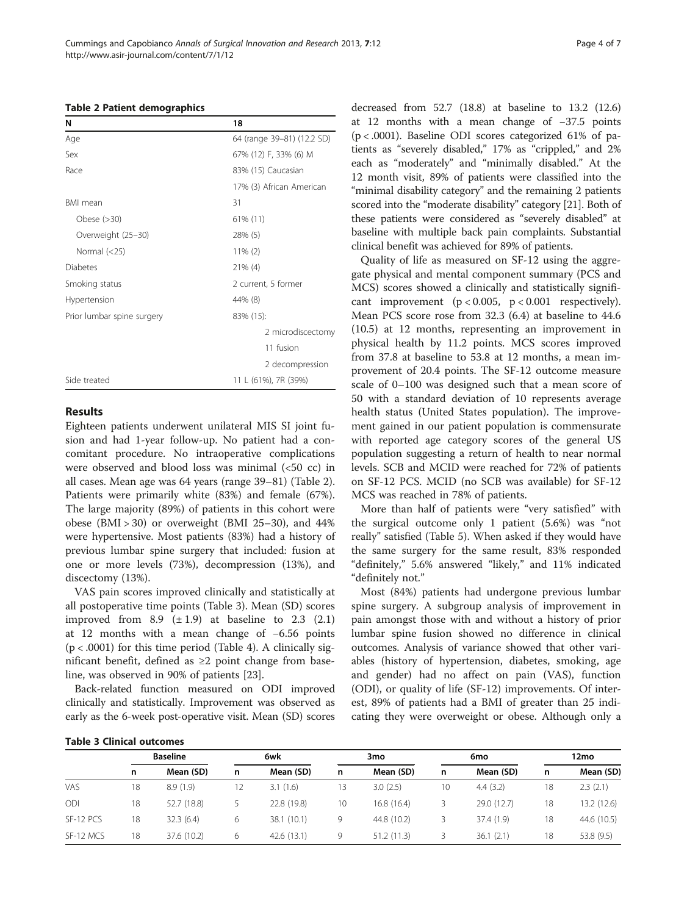| N                          | 18                         |
|----------------------------|----------------------------|
| Age                        | 64 (range 39-81) (12.2 SD) |
| Sex                        | 67% (12) F, 33% (6) M      |
| Race                       | 83% (15) Caucasian         |
|                            | 17% (3) African American   |
| <b>BMI</b> mean            | 31                         |
| Obese $(>30)$              | 61% (11)                   |
| Overweight (25-30)         | 28% (5)                    |
| Normal $(<25)$             | $11\% (2)$                 |
| Diabetes                   | $21\%$ (4)                 |
| Smoking status             | 2 current, 5 former        |
| Hypertension               | 44% (8)                    |
| Prior lumbar spine surgery | 83% (15):                  |
|                            | 2 microdiscectomy          |
|                            | 11 fusion                  |
|                            | 2 decompression            |
| Side treated               | 11 L (61%), 7R (39%)       |

#### Results

Eighteen patients underwent unilateral MIS SI joint fusion and had 1-year follow-up. No patient had a concomitant procedure. No intraoperative complications were observed and blood loss was minimal (<50 cc) in all cases. Mean age was 64 years (range 39–81) (Table 2). Patients were primarily white (83%) and female (67%). The large majority (89%) of patients in this cohort were obese  $(BMI > 30)$  or overweight  $(BMI 25-30)$ , and  $44\%$ were hypertensive. Most patients (83%) had a history of previous lumbar spine surgery that included: fusion at one or more levels (73%), decompression (13%), and discectomy (13%).

VAS pain scores improved clinically and statistically at all postoperative time points (Table 3). Mean (SD) scores improved from 8.9  $(\pm 1.9)$  at baseline to 2.3  $(2.1)$ at 12 months with a mean change of −6.56 points  $(p < .0001)$  for this time period (Table [4\)](#page-4-0). A clinically significant benefit, defined as ≥2 point change from baseline, was observed in 90% of patients [[23\]](#page-5-0).

Back-related function measured on ODI improved clinically and statistically. Improvement was observed as early as the 6-week post-operative visit. Mean (SD) scores decreased from 52.7 (18.8) at baseline to 13.2 (12.6) at 12 months with a mean change of −37.5 points (p < .0001). Baseline ODI scores categorized 61% of patients as "severely disabled," 17% as "crippled," and 2% each as "moderately" and "minimally disabled." At the 12 month visit, 89% of patients were classified into the "minimal disability category" and the remaining 2 patients scored into the "moderate disability" category [[21](#page-5-0)]. Both of these patients were considered as "severely disabled" at baseline with multiple back pain complaints. Substantial clinical benefit was achieved for 89% of patients.

Quality of life as measured on SF-12 using the aggregate physical and mental component summary (PCS and MCS) scores showed a clinically and statistically significant improvement  $(p < 0.005, p < 0.001$  respectively). Mean PCS score rose from 32.3 (6.4) at baseline to 44.6 (10.5) at 12 months, representing an improvement in physical health by 11.2 points. MCS scores improved from 37.8 at baseline to 53.8 at 12 months, a mean improvement of 20.4 points. The SF-12 outcome measure scale of 0–100 was designed such that a mean score of 50 with a standard deviation of 10 represents average health status (United States population). The improvement gained in our patient population is commensurate with reported age category scores of the general US population suggesting a return of health to near normal levels. SCB and MCID were reached for 72% of patients on SF-12 PCS. MCID (no SCB was available) for SF-12 MCS was reached in 78% of patients.

More than half of patients were "very satisfied" with the surgical outcome only 1 patient (5.6%) was "not really" satisfied (Table [5\)](#page-4-0). When asked if they would have the same surgery for the same result, 83% responded "definitely," 5.6% answered "likely," and 11% indicated "definitely not."

Most (84%) patients had undergone previous lumbar spine surgery. A subgroup analysis of improvement in pain amongst those with and without a history of prior lumbar spine fusion showed no difference in clinical outcomes. Analysis of variance showed that other variables (history of hypertension, diabetes, smoking, age and gender) had no affect on pain (VAS), function (ODI), or quality of life (SF-12) improvements. Of interest, 89% of patients had a BMI of greater than 25 indicating they were overweight or obese. Although only a

|  |  | Table 3 Clinical outcomes |
|--|--|---------------------------|
|--|--|---------------------------|

|            |    | <b>Baseline</b> | 6wk |             | 3 <sub>mo</sub> |             |    | 6mo         |    | 12mo        |  |
|------------|----|-----------------|-----|-------------|-----------------|-------------|----|-------------|----|-------------|--|
|            | n  | Mean (SD)       | n   | Mean (SD)   | n               | Mean (SD)   | n  | Mean (SD)   | n  | Mean (SD)   |  |
| VAS        | 18 | 8.9(1.9)        | 12  | 3.1(1.6)    | 13              | 3.0(2.5)    | 10 | 4.4(3.2)    | 18 | 2.3(2.1)    |  |
| <b>ODI</b> | 18 | 52.7 (18.8)     |     | 22.8 (19.8) | 10              | 16.8(16.4)  |    | 29.0 (12.7) | 18 | 13.2 (12.6) |  |
| SF-12 PCS  | 18 | 32.3(6.4)       | 6   | 38.1 (10.1) | 9               | 44.8 (10.2) |    | 37.4 (1.9)  | 18 | 44.6 (10.5) |  |
| SF-12 MCS  | 18 | 37.6 (10.2)     | 6   | 42.6(13.1)  | 9               | 51.2(11.3)  |    | 36.1(2.1)   | 18 | 53.8 (9.5)  |  |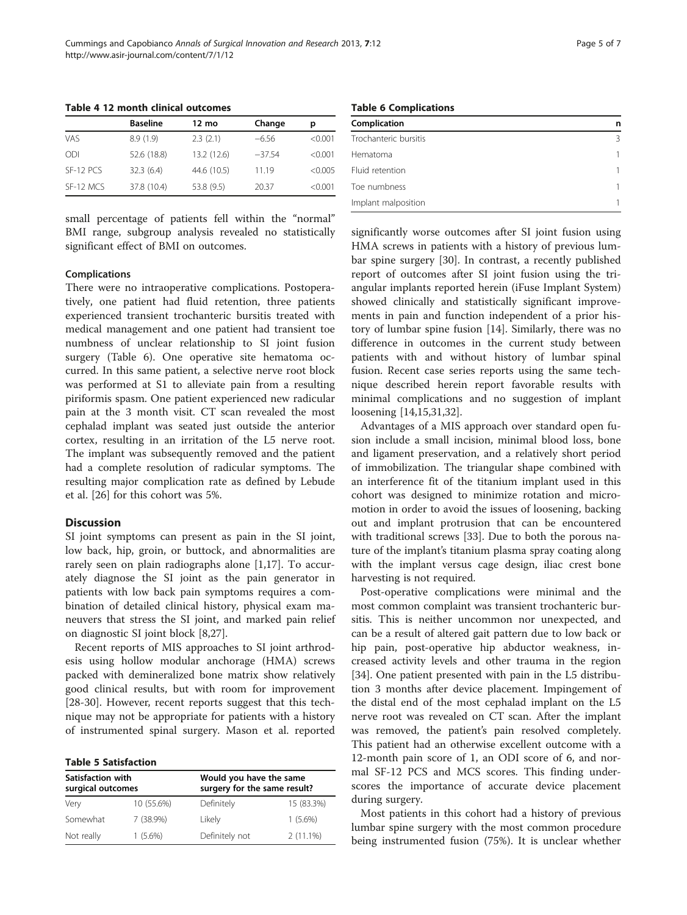|           | <b>Baseline</b> | 12 mo       | Change   | р       |
|-----------|-----------------|-------------|----------|---------|
| VAS       | 8.9(1.9)        | 2.3(2.1)    | $-6.56$  | < 0.001 |
| ODI       | 52.6 (18.8)     | 13.2 (12.6) | $-37.54$ | < 0.001 |
| SF-12 PCS | 32.3(6.4)       | 44.6 (10.5) | 11.19    | < 0.005 |
| SF-12 MCS | 37.8 (10.4)     | 53.8 (9.5)  | 20.37    | < 0.001 |

<span id="page-4-0"></span>Table 4 12 month clinical outcomes

small percentage of patients fell within the "normal" BMI range, subgroup analysis revealed no statistically significant effect of BMI on outcomes.

#### Complications

There were no intraoperative complications. Postoperatively, one patient had fluid retention, three patients experienced transient trochanteric bursitis treated with medical management and one patient had transient toe numbness of unclear relationship to SI joint fusion surgery (Table 6). One operative site hematoma occurred. In this same patient, a selective nerve root block was performed at S1 to alleviate pain from a resulting piriformis spasm. One patient experienced new radicular pain at the 3 month visit. CT scan revealed the most cephalad implant was seated just outside the anterior cortex, resulting in an irritation of the L5 nerve root. The implant was subsequently removed and the patient had a complete resolution of radicular symptoms. The resulting major complication rate as defined by Lebude et al. [\[26](#page-6-0)] for this cohort was 5%.

## Discussion

SI joint symptoms can present as pain in the SI joint, low back, hip, groin, or buttock, and abnormalities are rarely seen on plain radiographs alone [[1,17\]](#page-5-0). To accurately diagnose the SI joint as the pain generator in patients with low back pain symptoms requires a combination of detailed clinical history, physical exam maneuvers that stress the SI joint, and marked pain relief on diagnostic SI joint block [\[8](#page-5-0)[,27](#page-6-0)].

Recent reports of MIS approaches to SI joint arthrodesis using hollow modular anchorage (HMA) screws packed with demineralized bone matrix show relatively good clinical results, but with room for improvement [[28-30](#page-6-0)]. However, recent reports suggest that this technique may not be appropriate for patients with a history of instrumented spinal surgery. Mason et al. reported

Table 5 Satisfaction

| Satisfaction with<br>surgical outcomes |             | Would you have the same<br>surgery for the same result? |             |  |  |
|----------------------------------------|-------------|---------------------------------------------------------|-------------|--|--|
| Very                                   | 10 (55.6%)  | Definitely                                              | 15 (83.3%)  |  |  |
| Somewhat                               | $7(38.9\%)$ | Likely                                                  | $1(5.6\%)$  |  |  |
| Not really                             | $1(5.6\%)$  | Definitely not                                          | $2(11.1\%)$ |  |  |

Table 6 Complications

| Complication          | n |
|-----------------------|---|
| Trochanteric bursitis | Β |
| Hematoma              | 1 |
| Fluid retention       | 1 |
| Toe numbness          | 1 |
| Implant malposition   |   |

significantly worse outcomes after SI joint fusion using HMA screws in patients with a history of previous lumbar spine surgery [[30\]](#page-6-0). In contrast, a recently published report of outcomes after SI joint fusion using the triangular implants reported herein (iFuse Implant System) showed clinically and statistically significant improvements in pain and function independent of a prior history of lumbar spine fusion [\[14\]](#page-5-0). Similarly, there was no difference in outcomes in the current study between patients with and without history of lumbar spinal fusion. Recent case series reports using the same technique described herein report favorable results with minimal complications and no suggestion of implant loosening [[14,15,](#page-5-0)[31,32\]](#page-6-0).

Advantages of a MIS approach over standard open fusion include a small incision, minimal blood loss, bone and ligament preservation, and a relatively short period of immobilization. The triangular shape combined with an interference fit of the titanium implant used in this cohort was designed to minimize rotation and micromotion in order to avoid the issues of loosening, backing out and implant protrusion that can be encountered with traditional screws [[33\]](#page-6-0). Due to both the porous nature of the implant's titanium plasma spray coating along with the implant versus cage design, iliac crest bone harvesting is not required.

Post-operative complications were minimal and the most common complaint was transient trochanteric bursitis. This is neither uncommon nor unexpected, and can be a result of altered gait pattern due to low back or hip pain, post-operative hip abductor weakness, increased activity levels and other trauma in the region [[34\]](#page-6-0). One patient presented with pain in the L5 distribution 3 months after device placement. Impingement of the distal end of the most cephalad implant on the L5 nerve root was revealed on CT scan. After the implant was removed, the patient's pain resolved completely. This patient had an otherwise excellent outcome with a 12-month pain score of 1, an ODI score of 6, and normal SF-12 PCS and MCS scores. This finding underscores the importance of accurate device placement during surgery.

Most patients in this cohort had a history of previous lumbar spine surgery with the most common procedure being instrumented fusion (75%). It is unclear whether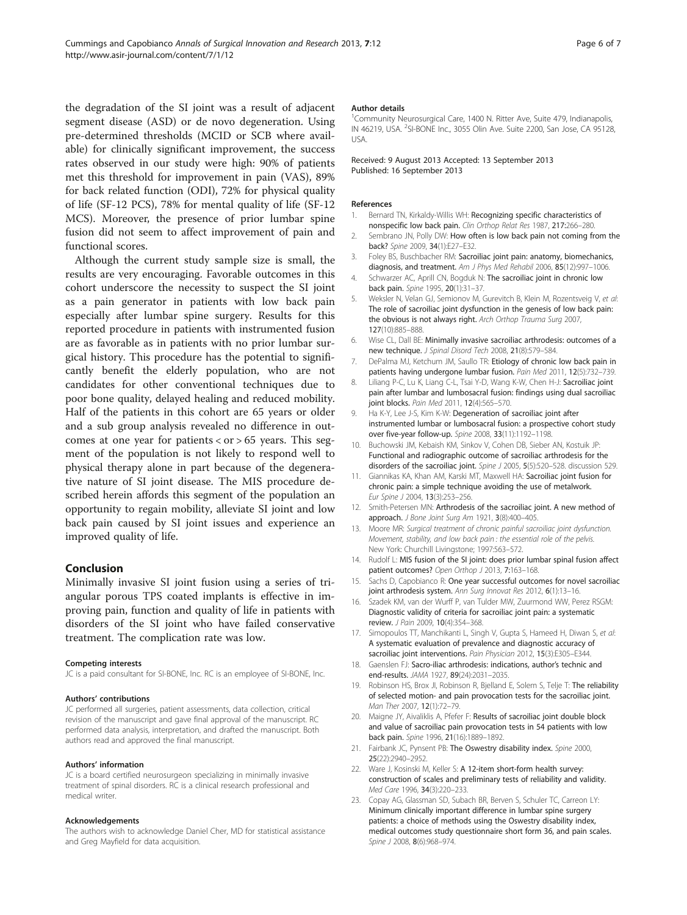<span id="page-5-0"></span>the degradation of the SI joint was a result of adjacent segment disease (ASD) or de novo degeneration. Using pre-determined thresholds (MCID or SCB where available) for clinically significant improvement, the success rates observed in our study were high: 90% of patients met this threshold for improvement in pain (VAS), 89% for back related function (ODI), 72% for physical quality of life (SF-12 PCS), 78% for mental quality of life (SF-12 MCS). Moreover, the presence of prior lumbar spine fusion did not seem to affect improvement of pain and

Although the current study sample size is small, the results are very encouraging. Favorable outcomes in this cohort underscore the necessity to suspect the SI joint as a pain generator in patients with low back pain especially after lumbar spine surgery. Results for this reported procedure in patients with instrumented fusion are as favorable as in patients with no prior lumbar surgical history. This procedure has the potential to significantly benefit the elderly population, who are not candidates for other conventional techniques due to poor bone quality, delayed healing and reduced mobility. Half of the patients in this cohort are 65 years or older and a sub group analysis revealed no difference in outcomes at one year for patients  $<$  or  $>$  65 years. This segment of the population is not likely to respond well to physical therapy alone in part because of the degenerative nature of SI joint disease. The MIS procedure described herein affords this segment of the population an opportunity to regain mobility, alleviate SI joint and low back pain caused by SI joint issues and experience an improved quality of life.

#### Conclusion

functional scores.

Minimally invasive SI joint fusion using a series of triangular porous TPS coated implants is effective in improving pain, function and quality of life in patients with disorders of the SI joint who have failed conservative treatment. The complication rate was low.

#### Competing interests

JC is a paid consultant for SI-BONE, Inc. RC is an employee of SI-BONE, Inc.

#### Authors' contributions

JC performed all surgeries, patient assessments, data collection, critical revision of the manuscript and gave final approval of the manuscript. RC performed data analysis, interpretation, and drafted the manuscript. Both authors read and approved the final manuscript.

#### Authors' information

JC is a board certified neurosurgeon specializing in minimally invasive treatment of spinal disorders. RC is a clinical research professional and medical writer.

#### Acknowledgements

The authors wish to acknowledge Daniel Cher, MD for statistical assistance and Greg Mayfield for data acquisition.

#### Author details

<sup>1</sup> Community Neurosurgical Care, 1400 N. Ritter Ave, Suite 479, Indianapolis IN 46219, USA. <sup>2</sup>SI-BONE Inc., 3055 Olin Ave. Suite 2200, San Jose, CA 95128 USA.

#### Received: 9 August 2013 Accepted: 13 September 2013 Published: 16 September 2013

#### References

- 1. Bernard TN, Kirkaldy-Willis WH: Recognizing specific characteristics of nonspecific low back pain. Clin Orthop Relat Res 1987, 217:266–280.
- 2. Sembrano JN, Polly DW: How often is low back pain not coming from the back? Spine 2009, 34(1):E27–E32.
- 3. Foley BS, Buschbacher RM: Sacroiliac joint pain: anatomy, biomechanics, diagnosis, and treatment. Am J Phys Med Rehabil 2006, 85(12):997-1006.
- 4. Schwarzer AC, Aprill CN, Bogduk N: The sacroiliac joint in chronic low back pain. Spine 1995, 20(1):31–37.
- 5. Weksler N, Velan GJ, Semionov M, Gurevitch B, Klein M, Rozentsveig V, et al: The role of sacroiliac joint dysfunction in the genesis of low back pain: the obvious is not always right. Arch Orthop Trauma Surg 2007, 127(10):885–888.
- 6. Wise CL, Dall BE: Minimally invasive sacroiliac arthrodesis: outcomes of a new technique. J Spinal Disord Tech 2008, 21(8):579–584.
- 7. DePalma MJ, Ketchum JM, Saullo TR: Etiology of chronic low back pain in patients having undergone lumbar fusion. Pain Med 2011, 12(5):732–739.
- 8. Liliang P-C, Lu K, Liang C-L, Tsai Y-D, Wang K-W, Chen H-J: Sacroiliac joint pain after lumbar and lumbosacral fusion: findings using dual sacroiliac joint blocks. Pain Med 2011, 12(4):565–570.
- 9. Ha K-Y, Lee J-S, Kim K-W: Degeneration of sacroiliac joint after instrumented lumbar or lumbosacral fusion: a prospective cohort study over five-year follow-up. Spine 2008, 33(11):1192–1198.
- 10. Buchowski JM, Kebaish KM, Sinkov V, Cohen DB, Sieber AN, Kostuik JP: Functional and radiographic outcome of sacroiliac arthrodesis for the disorders of the sacroiliac joint. Spine J 2005, 5(5):520-528. discussion 529.
- 11. Giannikas KA, Khan AM, Karski MT, Maxwell HA: Sacroiliac joint fusion for chronic pain: a simple technique avoiding the use of metalwork. Eur Spine J 2004, 13(3):253–256.
- 12. Smith-Petersen MN: Arthrodesis of the sacroiliac joint. A new method of approach. J Bone Joint Surg Am 1921, 3(8):400-405.
- 13. Moore MR: Surgical treatment of chronic painful sacroiliac joint dysfunction. Movement, stability, and low back pain : the essential role of the pelvis. New York: Churchill Livingstone; 1997:563–572.
- 14. Rudolf L: MIS fusion of the SI joint: does prior lumbar spinal fusion affect patient outcomes? Open Orthop J 2013, 7:163-168.
- 15. Sachs D, Capobianco R: One year successful outcomes for novel sacroiliac joint arthrodesis system. Ann Surg Innovat Res 2012, 6(1):13-16.
- 16. Szadek KM, van der Wurff P, van Tulder MW, Zuurmond WW, Perez RSGM: Diagnostic validity of criteria for sacroiliac joint pain: a systematic review. J Pain 2009, 10(4):354–368.
- 17. Simopoulos TT, Manchikanti L, Singh V, Gupta S, Hameed H, Diwan S, et al: A systematic evaluation of prevalence and diagnostic accuracy of sacroiliac joint interventions. Pain Physician 2012, 15(3):E305–E344.
- 18. Gaenslen FJ: Sacro-iliac arthrodesis: indications, author's technic and end-results. JAMA 1927, 89(24):2031–2035.
- 19. Robinson HS, Brox JI, Robinson R, Bjelland E, Solem S, Telje T: The reliability of selected motion- and pain provocation tests for the sacroiliac joint. Man Ther 2007, 12(1):72–79.
- 20. Maigne JY, Aivaliklis A, Pfefer F: Results of sacroiliac joint double block and value of sacroiliac pain provocation tests in 54 patients with low back pain. Spine 1996, 21(16):1889–1892.
- 21. Fairbank JC, Pynsent PB: The Oswestry disability index. Spine 2000, 25(22):2940–2952.
- 22. Ware J, Kosinski M, Keller S: A 12-item short-form health survey: construction of scales and preliminary tests of reliability and validity. Med Care 1996, 34(3):220–233.
- 23. Copay AG, Glassman SD, Subach BR, Berven S, Schuler TC, Carreon LY: Minimum clinically important difference in lumbar spine surgery patients: a choice of methods using the Oswestry disability index, medical outcomes study questionnaire short form 36, and pain scales. Spine J 2008, 8(6):968-974.